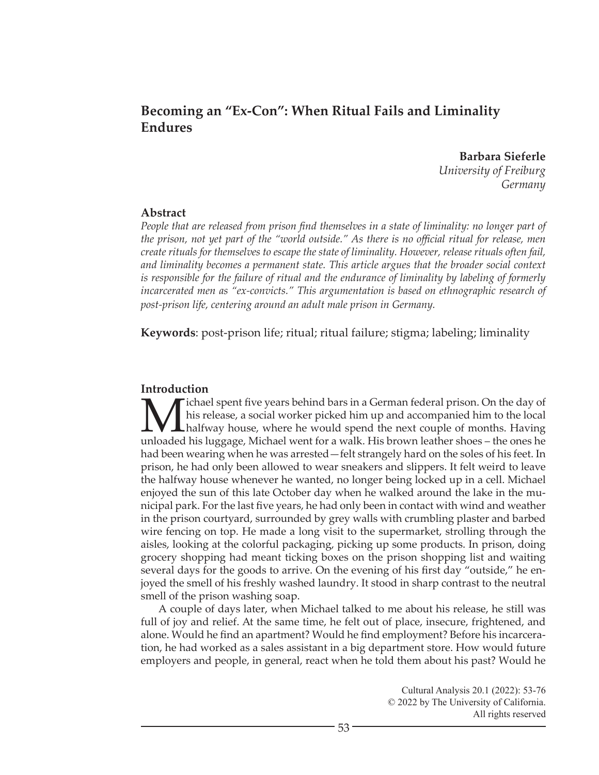# **Becoming an "Ex-Con": When Ritual Fails and Liminality Endures**

**Barbara Sieferle** *University of Freiburg Germany*

#### **Abstract**

*People that are released from prison find themselves in a state of liminality: no longer part of the prison, not yet part of the "world outside." As there is no official ritual for release, men create rituals for themselves to escape the state of liminality. However, release rituals often fail, and liminality becomes a permanent state. This article argues that the broader social context is responsible for the failure of ritual and the endurance of liminality by labeling of formerly*  incarcerated men as "ex-convicts." This argumentation is based on ethnographic research of *post-prison life, centering around an adult male prison in Germany.*

**Keywords**: post-prison life; ritual; ritual failure; stigma; labeling; liminality

# **Introduction**

Michael spent five years behind bars in a German federal prison. On the day of<br>his release, a social worker picked him up and accompanied him to the local<br>uploaded his luggage. Michael went for a walk. His brown leather sh his release, a social worker picked him up and accompanied him to the local halfway house, where he would spend the next couple of months. Having unloaded his luggage, Michael went for a walk. His brown leather shoes – the ones he had been wearing when he was arrested—felt strangely hard on the soles of his feet. In prison, he had only been allowed to wear sneakers and slippers. It felt weird to leave the halfway house whenever he wanted, no longer being locked up in a cell. Michael enjoyed the sun of this late October day when he walked around the lake in the municipal park. For the last five years, he had only been in contact with wind and weather in the prison courtyard, surrounded by grey walls with crumbling plaster and barbed wire fencing on top. He made a long visit to the supermarket, strolling through the aisles, looking at the colorful packaging, picking up some products. In prison, doing grocery shopping had meant ticking boxes on the prison shopping list and waiting several days for the goods to arrive. On the evening of his first day "outside," he enjoyed the smell of his freshly washed laundry. It stood in sharp contrast to the neutral smell of the prison washing soap.

A couple of days later, when Michael talked to me about his release, he still was full of joy and relief. At the same time, he felt out of place, insecure, frightened, and alone. Would he find an apartment? Would he find employment? Before his incarceration, he had worked as a sales assistant in a big department store. How would future employers and people, in general, react when he told them about his past? Would he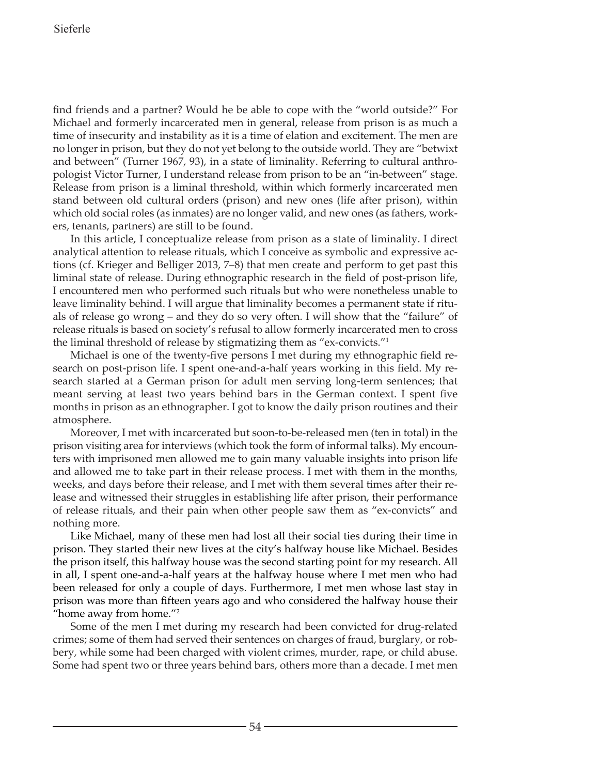find friends and a partner? Would he be able to cope with the "world outside?" For Michael and formerly incarcerated men in general, release from prison is as much a time of insecurity and instability as it is a time of elation and excitement. The men are no longer in prison, but they do not yet belong to the outside world. They are "betwixt and between" (Turner 1967, 93), in a state of liminality. Referring to cultural anthropologist Victor Turner, I understand release from prison to be an "in-between" stage. Release from prison is a liminal threshold, within which formerly incarcerated men stand between old cultural orders (prison) and new ones (life after prison), within which old social roles (as inmates) are no longer valid, and new ones (as fathers, workers, tenants, partners) are still to be found.

In this article, I conceptualize release from prison as a state of liminality. I direct analytical attention to release rituals, which I conceive as symbolic and expressive actions (cf. Krieger and Belliger 2013, 7–8) that men create and perform to get past this liminal state of release. During ethnographic research in the field of post-prison life, I encountered men who performed such rituals but who were nonetheless unable to leave liminality behind. I will argue that liminality becomes a permanent state if rituals of release go wrong – and they do so very often. I will show that the "failure" of release rituals is based on society's refusal to allow formerly incarcerated men to cross the liminal threshold of release by stigmatizing them as "ex-convicts."1

Michael is one of the twenty-five persons I met during my ethnographic field research on post-prison life. I spent one-and-a-half years working in this field. My research started at a German prison for adult men serving long-term sentences; that meant serving at least two years behind bars in the German context. I spent five months in prison as an ethnographer. I got to know the daily prison routines and their atmosphere.

Moreover, I met with incarcerated but soon-to-be-released men (ten in total) in the prison visiting area for interviews (which took the form of informal talks). My encounters with imprisoned men allowed me to gain many valuable insights into prison life and allowed me to take part in their release process. I met with them in the months, weeks, and days before their release, and I met with them several times after their release and witnessed their struggles in establishing life after prison, their performance of release rituals, and their pain when other people saw them as "ex-convicts" and nothing more.

Like Michael, many of these men had lost all their social ties during their time in prison. They started their new lives at the city's halfway house like Michael. Besides the prison itself, this halfway house was the second starting point for my research. All in all, I spent one-and-a-half years at the halfway house where I met men who had been released for only a couple of days. Furthermore, I met men whose last stay in prison was more than fifteen years ago and who considered the halfway house their "home away from home."2

Some of the men I met during my research had been convicted for drug-related crimes; some of them had served their sentences on charges of fraud, burglary, or robbery, while some had been charged with violent crimes, murder, rape, or child abuse. Some had spent two or three years behind bars, others more than a decade. I met men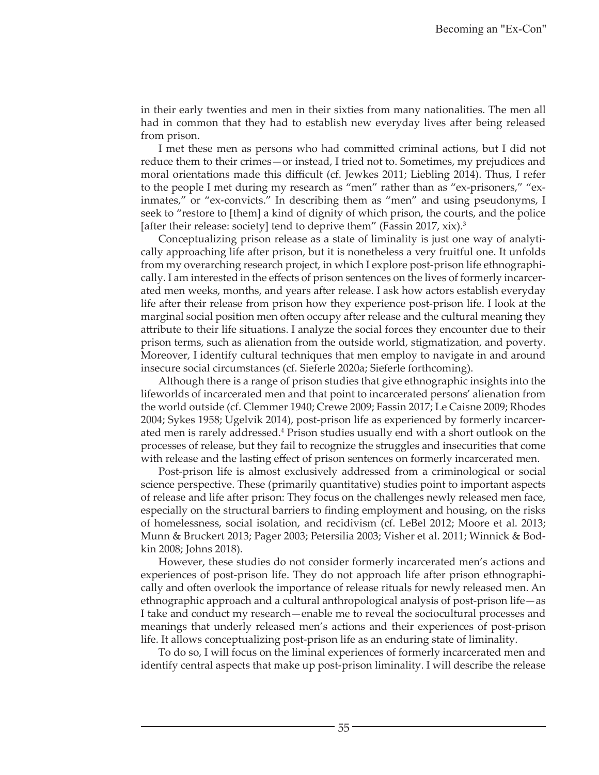in their early twenties and men in their sixties from many nationalities. The men all had in common that they had to establish new everyday lives after being released from prison.

I met these men as persons who had committed criminal actions, but I did not reduce them to their crimes—or instead, I tried not to. Sometimes, my prejudices and moral orientations made this difficult (cf. Jewkes 2011; Liebling 2014). Thus, I refer to the people I met during my research as "men" rather than as "ex-prisoners," "exinmates," or "ex-convicts." In describing them as "men" and using pseudonyms, I seek to "restore to [them] a kind of dignity of which prison, the courts, and the police [after their release: society] tend to deprive them" (Fassin 2017, xix).<sup>3</sup>

Conceptualizing prison release as a state of liminality is just one way of analytically approaching life after prison, but it is nonetheless a very fruitful one. It unfolds from my overarching research project, in which I explore post-prison life ethnographically. I am interested in the effects of prison sentences on the lives of formerly incarcerated men weeks, months, and years after release. I ask how actors establish everyday life after their release from prison how they experience post-prison life. I look at the marginal social position men often occupy after release and the cultural meaning they attribute to their life situations. I analyze the social forces they encounter due to their prison terms, such as alienation from the outside world, stigmatization, and poverty. Moreover, I identify cultural techniques that men employ to navigate in and around insecure social circumstances (cf. Sieferle 2020a; Sieferle forthcoming).

Although there is a range of prison studies that give ethnographic insights into the lifeworlds of incarcerated men and that point to incarcerated persons' alienation from the world outside (cf. Clemmer 1940; Crewe 2009; Fassin 2017; Le Caisne 2009; Rhodes 2004; Sykes 1958; Ugelvik 2014), post-prison life as experienced by formerly incarcerated men is rarely addressed.<sup>4</sup> Prison studies usually end with a short outlook on the processes of release, but they fail to recognize the struggles and insecurities that come with release and the lasting effect of prison sentences on formerly incarcerated men.

Post-prison life is almost exclusively addressed from a criminological or social science perspective. These (primarily quantitative) studies point to important aspects of release and life after prison: They focus on the challenges newly released men face, especially on the structural barriers to finding employment and housing, on the risks of homelessness, social isolation, and recidivism (cf. LeBel 2012; Moore et al. 2013; Munn & Bruckert 2013; Pager 2003; Petersilia 2003; Visher et al. 2011; Winnick & Bodkin 2008; Johns 2018).

However, these studies do not consider formerly incarcerated men's actions and experiences of post-prison life. They do not approach life after prison ethnographically and often overlook the importance of release rituals for newly released men. An ethnographic approach and a cultural anthropological analysis of post-prison life—as I take and conduct my research—enable me to reveal the sociocultural processes and meanings that underly released men's actions and their experiences of post-prison life. It allows conceptualizing post-prison life as an enduring state of liminality.

To do so, I will focus on the liminal experiences of formerly incarcerated men and identify central aspects that make up post-prison liminality. I will describe the release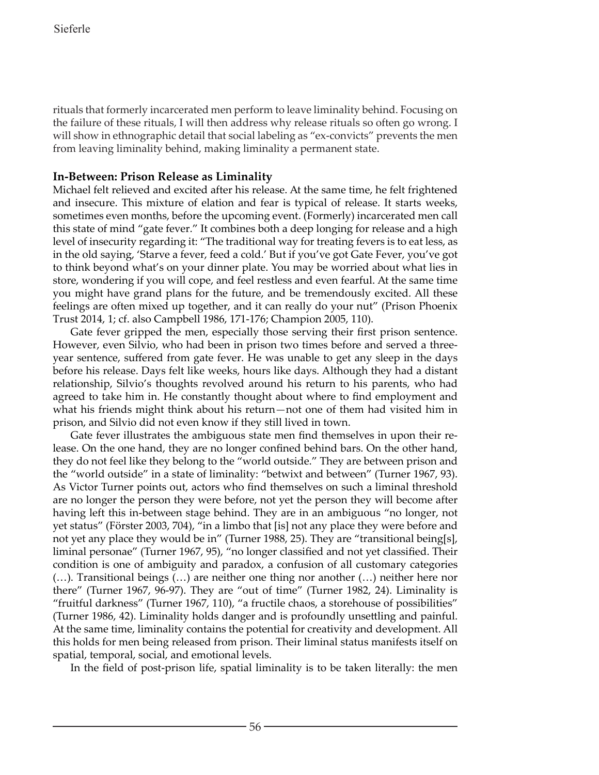rituals that formerly incarcerated men perform to leave liminality behind. Focusing on the failure of these rituals, I will then address why release rituals so often go wrong. I will show in ethnographic detail that social labeling as "ex-convicts" prevents the men from leaving liminality behind, making liminality a permanent state.

# **In-Between: Prison Release as Liminality**

Michael felt relieved and excited after his release. At the same time, he felt frightened and insecure. This mixture of elation and fear is typical of release. It starts weeks, sometimes even months, before the upcoming event. (Formerly) incarcerated men call this state of mind "gate fever." It combines both a deep longing for release and a high level of insecurity regarding it: "The traditional way for treating fevers is to eat less, as in the old saying, 'Starve a fever, feed a cold.' But if you've got Gate Fever, you've got to think beyond what's on your dinner plate. You may be worried about what lies in store, wondering if you will cope, and feel restless and even fearful. At the same time you might have grand plans for the future, and be tremendously excited. All these feelings are often mixed up together, and it can really do your nut" (Prison Phoenix Trust 2014, 1; cf. also Campbell 1986, 171-176; Champion 2005, 110).

Gate fever gripped the men, especially those serving their first prison sentence. However, even Silvio, who had been in prison two times before and served a threeyear sentence, suffered from gate fever. He was unable to get any sleep in the days before his release. Days felt like weeks, hours like days. Although they had a distant relationship, Silvio's thoughts revolved around his return to his parents, who had agreed to take him in. He constantly thought about where to find employment and what his friends might think about his return—not one of them had visited him in prison, and Silvio did not even know if they still lived in town.

Gate fever illustrates the ambiguous state men find themselves in upon their release. On the one hand, they are no longer confined behind bars. On the other hand, they do not feel like they belong to the "world outside." They are between prison and the "world outside" in a state of liminality: "betwixt and between" (Turner 1967, 93). As Victor Turner points out, actors who find themselves on such a liminal threshold are no longer the person they were before, not yet the person they will become after having left this in-between stage behind. They are in an ambiguous "no longer, not yet status" (Förster 2003, 704), "in a limbo that [is] not any place they were before and not yet any place they would be in" (Turner 1988, 25). They are "transitional being[s], liminal personae" (Turner 1967, 95), "no longer classified and not yet classified. Their condition is one of ambiguity and paradox, a confusion of all customary categories (…). Transitional beings (…) are neither one thing nor another (…) neither here nor there" (Turner 1967, 96-97). They are "out of time" (Turner 1982, 24). Liminality is "fruitful darkness" (Turner 1967, 110), "a fructile chaos, a storehouse of possibilities" (Turner 1986, 42). Liminality holds danger and is profoundly unsettling and painful. At the same time, liminality contains the potential for creativity and development. All this holds for men being released from prison. Their liminal status manifests itself on spatial, temporal, social, and emotional levels.

In the field of post-prison life, spatial liminality is to be taken literally: the men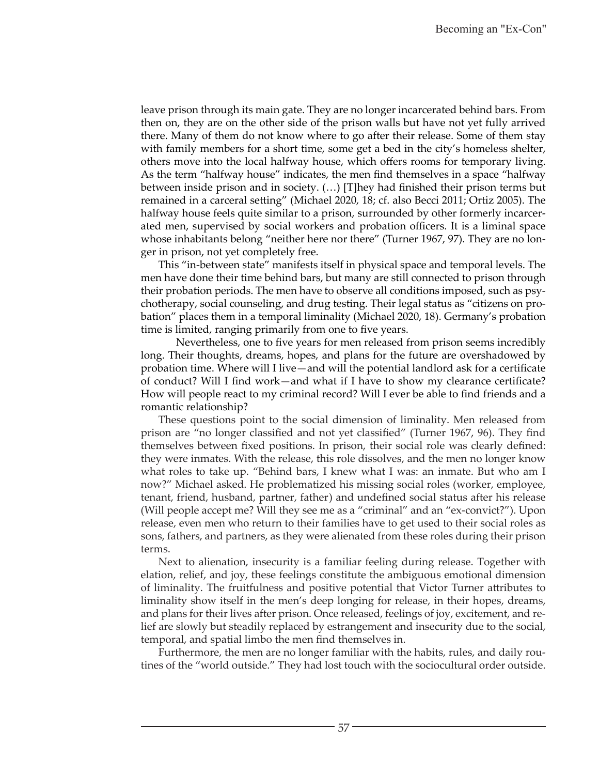leave prison through its main gate. They are no longer incarcerated behind bars. From then on, they are on the other side of the prison walls but have not yet fully arrived there. Many of them do not know where to go after their release. Some of them stay with family members for a short time, some get a bed in the city's homeless shelter, others move into the local halfway house, which offers rooms for temporary living. As the term "halfway house" indicates, the men find themselves in a space "halfway between inside prison and in society. (…) [T]hey had finished their prison terms but remained in a carceral setting" (Michael 2020, 18; cf. also Becci 2011; Ortiz 2005). The halfway house feels quite similar to a prison, surrounded by other formerly incarcerated men, supervised by social workers and probation officers. It is a liminal space whose inhabitants belong "neither here nor there" (Turner 1967, 97). They are no longer in prison, not yet completely free.

This "in-between state" manifests itself in physical space and temporal levels. The men have done their time behind bars, but many are still connected to prison through their probation periods. The men have to observe all conditions imposed, such as psychotherapy, social counseling, and drug testing. Their legal status as "citizens on probation" places them in a temporal liminality (Michael 2020, 18). Germany's probation time is limited, ranging primarily from one to five years.

Nevertheless, one to five years for men released from prison seems incredibly long. Their thoughts, dreams, hopes, and plans for the future are overshadowed by probation time. Where will I live—and will the potential landlord ask for a certificate of conduct? Will I find work—and what if I have to show my clearance certificate? How will people react to my criminal record? Will I ever be able to find friends and a romantic relationship?

These questions point to the social dimension of liminality. Men released from prison are "no longer classified and not yet classified" (Turner 1967, 96). They find themselves between fixed positions. In prison, their social role was clearly defined: they were inmates. With the release, this role dissolves, and the men no longer know what roles to take up. "Behind bars, I knew what I was: an inmate. But who am I now?" Michael asked. He problematized his missing social roles (worker, employee, tenant, friend, husband, partner, father) and undefined social status after his release (Will people accept me? Will they see me as a "criminal" and an "ex-convict?"). Upon release, even men who return to their families have to get used to their social roles as sons, fathers, and partners, as they were alienated from these roles during their prison terms.

Next to alienation, insecurity is a familiar feeling during release. Together with elation, relief, and joy, these feelings constitute the ambiguous emotional dimension of liminality. The fruitfulness and positive potential that Victor Turner attributes to liminality show itself in the men's deep longing for release, in their hopes, dreams, and plans for their lives after prison. Once released, feelings of joy, excitement, and relief are slowly but steadily replaced by estrangement and insecurity due to the social, temporal, and spatial limbo the men find themselves in.

Furthermore, the men are no longer familiar with the habits, rules, and daily routines of the "world outside." They had lost touch with the sociocultural order outside.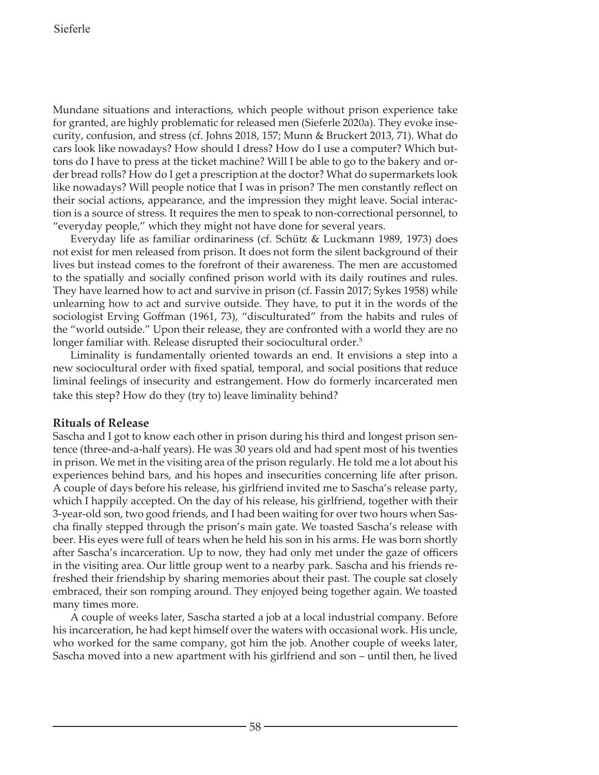Mundane situations and interactions, which people without prison experience take for granted, are highly problematic for released men (Sieferle 2020a). They evoke insecurity, confusion, and stress (cf. Johns 2018, 157; Munn & Bruckert 2013, 71). What do cars look like nowadays? How should I dress? How do I use a computer? Which buttons do I have to press at the ticket machine? Will I be able to go to the bakery and order bread rolls? How do I get a prescription at the doctor? What do supermarkets look like nowadays? Will people notice that I was in prison? The men constantly reflect on their social actions, appearance, and the impression they might leave. Social interaction is a source of stress. It requires the men to speak to non-correctional personnel, to "everyday people," which they might not have done for several years.

Everyday life as familiar ordinariness (cf. Schütz & Luckmann 1989, 1973) does not exist for men released from prison. It does not form the silent background of their lives but instead comes to the forefront of their awareness. The men are accustomed to the spatially and socially confined prison world with its daily routines and rules. They have learned how to act and survive in prison (cf. Fassin 2017; Sykes 1958) while unlearning how to act and survive outside. They have, to put it in the words of the sociologist Erving Goffman (1961, 73), "disculturated" from the habits and rules of the "world outside." Upon their release, they are confronted with a world they are no longer familiar with. Release disrupted their sociocultural order.<sup>5</sup>

Liminality is fundamentally oriented towards an end. It envisions a step into a new sociocultural order with fixed spatial, temporal, and social positions that reduce liminal feelings of insecurity and estrangement. How do formerly incarcerated men take this step? How do they (try to) leave liminality behind?

### **Rituals of Release**

Sascha and I got to know each other in prison during his third and longest prison sentence (three-and-a-half years). He was 30 years old and had spent most of his twenties in prison. We met in the visiting area of the prison regularly. He told me a lot about his experiences behind bars, and his hopes and insecurities concerning life after prison. A couple of days before his release, his girlfriend invited me to Sascha's release party, which I happily accepted. On the day of his release, his girlfriend, together with their 3-year-old son, two good friends, and I had been waiting for over two hours when Sascha finally stepped through the prison's main gate. We toasted Sascha's release with beer. His eyes were full of tears when he held his son in his arms. He was born shortly after Sascha's incarceration. Up to now, they had only met under the gaze of officers in the visiting area. Our little group went to a nearby park. Sascha and his friends refreshed their friendship by sharing memories about their past. The couple sat closely embraced, their son romping around. They enjoyed being together again. We toasted many times more.

A couple of weeks later, Sascha started a job at a local industrial company. Before his incarceration, he had kept himself over the waters with occasional work. His uncle, who worked for the same company, got him the job. Another couple of weeks later, Sascha moved into a new apartment with his girlfriend and son – until then, he lived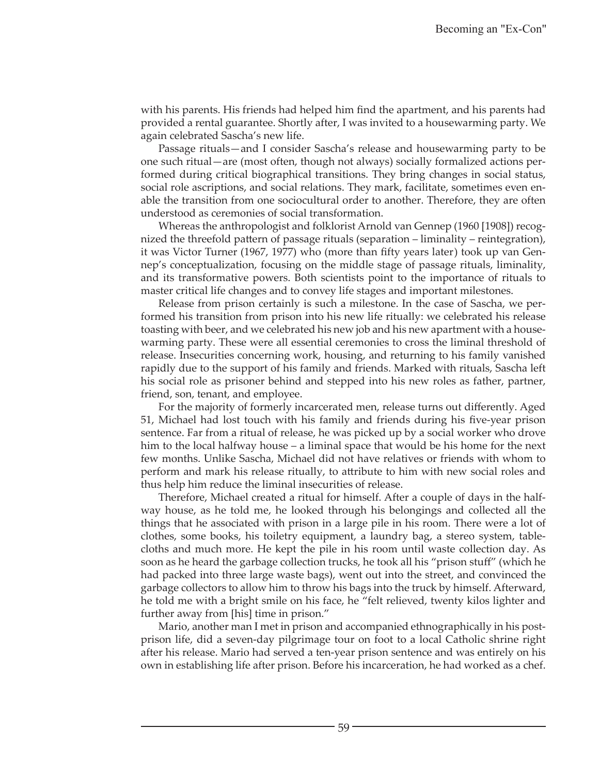with his parents. His friends had helped him find the apartment, and his parents had provided a rental guarantee. Shortly after, I was invited to a housewarming party. We again celebrated Sascha's new life.

Passage rituals—and I consider Sascha's release and housewarming party to be one such ritual—are (most often, though not always) socially formalized actions performed during critical biographical transitions. They bring changes in social status, social role ascriptions, and social relations. They mark, facilitate, sometimes even enable the transition from one sociocultural order to another. Therefore, they are often understood as ceremonies of social transformation.

Whereas the anthropologist and folklorist Arnold van Gennep (1960 [1908]) recognized the threefold pattern of passage rituals (separation – liminality – reintegration), it was Victor Turner (1967, 1977) who (more than fifty years later) took up van Gennep's conceptualization, focusing on the middle stage of passage rituals, liminality, and its transformative powers. Both scientists point to the importance of rituals to master critical life changes and to convey life stages and important milestones.

Release from prison certainly is such a milestone. In the case of Sascha, we performed his transition from prison into his new life ritually: we celebrated his release toasting with beer, and we celebrated his new job and his new apartment with a housewarming party. These were all essential ceremonies to cross the liminal threshold of release. Insecurities concerning work, housing, and returning to his family vanished rapidly due to the support of his family and friends. Marked with rituals, Sascha left his social role as prisoner behind and stepped into his new roles as father, partner, friend, son, tenant, and employee.

For the majority of formerly incarcerated men, release turns out differently. Aged 51, Michael had lost touch with his family and friends during his five-year prison sentence. Far from a ritual of release, he was picked up by a social worker who drove him to the local halfway house – a liminal space that would be his home for the next few months. Unlike Sascha, Michael did not have relatives or friends with whom to perform and mark his release ritually, to attribute to him with new social roles and thus help him reduce the liminal insecurities of release.

Therefore, Michael created a ritual for himself. After a couple of days in the halfway house, as he told me, he looked through his belongings and collected all the things that he associated with prison in a large pile in his room. There were a lot of clothes, some books, his toiletry equipment, a laundry bag, a stereo system, tablecloths and much more. He kept the pile in his room until waste collection day. As soon as he heard the garbage collection trucks, he took all his "prison stuff" (which he had packed into three large waste bags), went out into the street, and convinced the garbage collectors to allow him to throw his bags into the truck by himself. Afterward, he told me with a bright smile on his face, he "felt relieved, twenty kilos lighter and further away from [his] time in prison."

Mario, another man I met in prison and accompanied ethnographically in his postprison life, did a seven-day pilgrimage tour on foot to a local Catholic shrine right after his release. Mario had served a ten-year prison sentence and was entirely on his own in establishing life after prison. Before his incarceration, he had worked as a chef.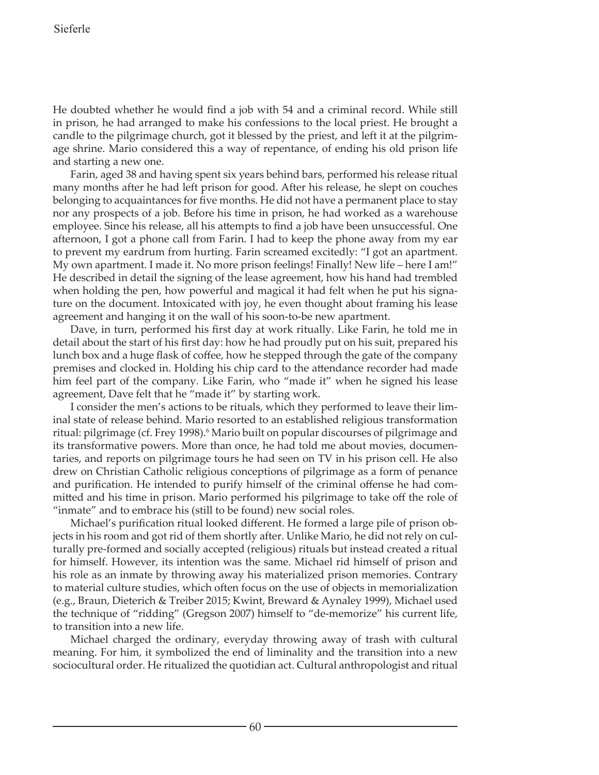He doubted whether he would find a job with 54 and a criminal record. While still in prison, he had arranged to make his confessions to the local priest. He brought a candle to the pilgrimage church, got it blessed by the priest, and left it at the pilgrimage shrine. Mario considered this a way of repentance, of ending his old prison life and starting a new one.

Farin, aged 38 and having spent six years behind bars, performed his release ritual many months after he had left prison for good. After his release, he slept on couches belonging to acquaintances for five months. He did not have a permanent place to stay nor any prospects of a job. Before his time in prison, he had worked as a warehouse employee. Since his release, all his attempts to find a job have been unsuccessful. One afternoon, I got a phone call from Farin. I had to keep the phone away from my ear to prevent my eardrum from hurting. Farin screamed excitedly: "I got an apartment. My own apartment. I made it. No more prison feelings! Finally! New life – here I am!" He described in detail the signing of the lease agreement, how his hand had trembled when holding the pen, how powerful and magical it had felt when he put his signature on the document. Intoxicated with joy, he even thought about framing his lease agreement and hanging it on the wall of his soon-to-be new apartment.

Dave, in turn, performed his first day at work ritually. Like Farin, he told me in detail about the start of his first day: how he had proudly put on his suit, prepared his lunch box and a huge flask of coffee, how he stepped through the gate of the company premises and clocked in. Holding his chip card to the attendance recorder had made him feel part of the company. Like Farin, who "made it" when he signed his lease agreement, Dave felt that he "made it" by starting work.

I consider the men's actions to be rituals, which they performed to leave their liminal state of release behind. Mario resorted to an established religious transformation ritual: pilgrimage (cf. Frey 1998).<sup>6</sup> Mario built on popular discourses of pilgrimage and its transformative powers. More than once, he had told me about movies, documentaries, and reports on pilgrimage tours he had seen on TV in his prison cell. He also drew on Christian Catholic religious conceptions of pilgrimage as a form of penance and purification. He intended to purify himself of the criminal offense he had committed and his time in prison. Mario performed his pilgrimage to take off the role of "inmate" and to embrace his (still to be found) new social roles.

Michael's purification ritual looked different. He formed a large pile of prison objects in his room and got rid of them shortly after. Unlike Mario, he did not rely on culturally pre-formed and socially accepted (religious) rituals but instead created a ritual for himself. However, its intention was the same. Michael rid himself of prison and his role as an inmate by throwing away his materialized prison memories. Contrary to material culture studies, which often focus on the use of objects in memorialization (e.g., Braun, Dieterich & Treiber 2015; Kwint, Breward & Aynaley 1999), Michael used the technique of "ridding" (Gregson 2007) himself to "de-memorize" his current life, to transition into a new life.

Michael charged the ordinary, everyday throwing away of trash with cultural meaning. For him, it symbolized the end of liminality and the transition into a new sociocultural order. He ritualized the quotidian act. Cultural anthropologist and ritual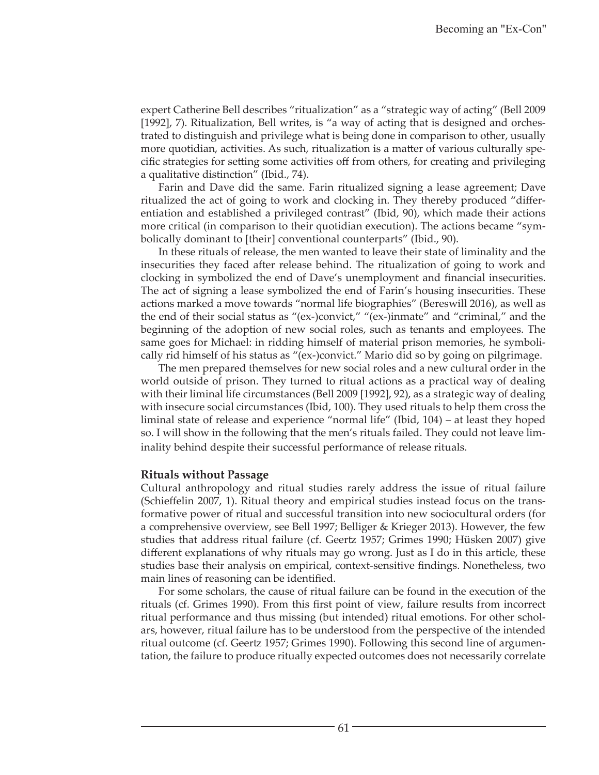expert Catherine Bell describes "ritualization" as a "strategic way of acting" (Bell 2009 [1992], 7). Ritualization, Bell writes, is "a way of acting that is designed and orchestrated to distinguish and privilege what is being done in comparison to other, usually more quotidian, activities. As such, ritualization is a matter of various culturally specific strategies for setting some activities off from others, for creating and privileging a qualitative distinction" (Ibid., 74).

Farin and Dave did the same. Farin ritualized signing a lease agreement; Dave ritualized the act of going to work and clocking in. They thereby produced "differentiation and established a privileged contrast" (Ibid, 90), which made their actions more critical (in comparison to their quotidian execution). The actions became "symbolically dominant to [their] conventional counterparts" (Ibid., 90).

In these rituals of release, the men wanted to leave their state of liminality and the insecurities they faced after release behind. The ritualization of going to work and clocking in symbolized the end of Dave's unemployment and financial insecurities. The act of signing a lease symbolized the end of Farin's housing insecurities. These actions marked a move towards "normal life biographies" (Bereswill 2016), as well as the end of their social status as "(ex-)convict," "(ex-)inmate" and "criminal," and the beginning of the adoption of new social roles, such as tenants and employees. The same goes for Michael: in ridding himself of material prison memories, he symbolically rid himself of his status as "(ex-)convict." Mario did so by going on pilgrimage.

The men prepared themselves for new social roles and a new cultural order in the world outside of prison. They turned to ritual actions as a practical way of dealing with their liminal life circumstances (Bell 2009 [1992], 92), as a strategic way of dealing with insecure social circumstances (Ibid, 100). They used rituals to help them cross the liminal state of release and experience "normal life" (Ibid, 104) – at least they hoped so. I will show in the following that the men's rituals failed. They could not leave liminality behind despite their successful performance of release rituals.

#### **Rituals without Passage**

Cultural anthropology and ritual studies rarely address the issue of ritual failure (Schieffelin 2007, 1). Ritual theory and empirical studies instead focus on the transformative power of ritual and successful transition into new sociocultural orders (for a comprehensive overview, see Bell 1997; Belliger & Krieger 2013). However, the few studies that address ritual failure (cf. Geertz 1957; Grimes 1990; Hüsken 2007) give different explanations of why rituals may go wrong. Just as I do in this article, these studies base their analysis on empirical, context-sensitive findings. Nonetheless, two main lines of reasoning can be identified.

For some scholars, the cause of ritual failure can be found in the execution of the rituals (cf. Grimes 1990). From this first point of view, failure results from incorrect ritual performance and thus missing (but intended) ritual emotions. For other scholars, however, ritual failure has to be understood from the perspective of the intended ritual outcome (cf. Geertz 1957; Grimes 1990). Following this second line of argumentation, the failure to produce ritually expected outcomes does not necessarily correlate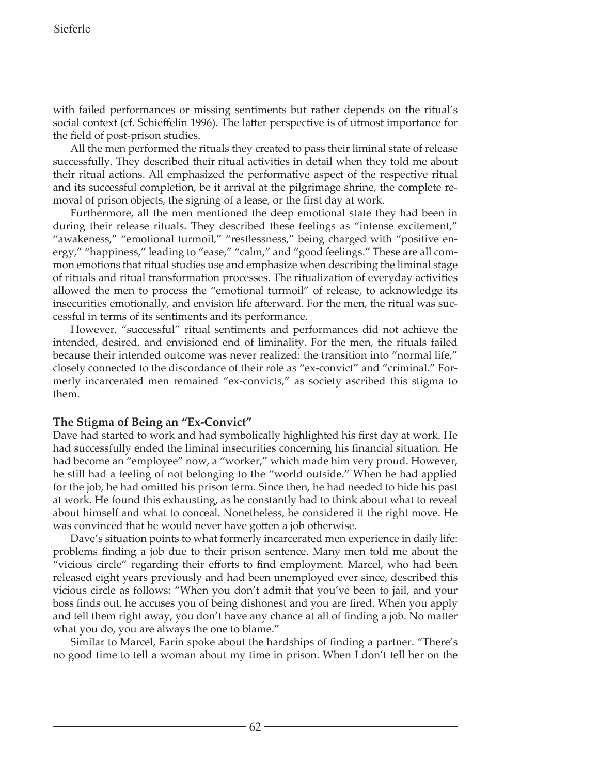with failed performances or missing sentiments but rather depends on the ritual's social context (cf. Schieffelin 1996). The latter perspective is of utmost importance for the field of post-prison studies.

All the men performed the rituals they created to pass their liminal state of release successfully. They described their ritual activities in detail when they told me about their ritual actions. All emphasized the performative aspect of the respective ritual and its successful completion, be it arrival at the pilgrimage shrine, the complete removal of prison objects, the signing of a lease, or the first day at work.

Furthermore, all the men mentioned the deep emotional state they had been in during their release rituals. They described these feelings as "intense excitement," "awakeness," "emotional turmoil," "restlessness," being charged with "positive energy," "happiness," leading to "ease," "calm," and "good feelings." These are all common emotions that ritual studies use and emphasize when describing the liminal stage of rituals and ritual transformation processes. The ritualization of everyday activities allowed the men to process the "emotional turmoil" of release, to acknowledge its insecurities emotionally, and envision life afterward. For the men, the ritual was successful in terms of its sentiments and its performance.

However, "successful" ritual sentiments and performances did not achieve the intended, desired, and envisioned end of liminality. For the men, the rituals failed because their intended outcome was never realized: the transition into "normal life," closely connected to the discordance of their role as "ex-convict" and "criminal." Formerly incarcerated men remained "ex-convicts," as society ascribed this stigma to them.

### **The Stigma of Being an "Ex-Convict"**

Dave had started to work and had symbolically highlighted his first day at work. He had successfully ended the liminal insecurities concerning his financial situation. He had become an "employee" now, a "worker," which made him very proud. However, he still had a feeling of not belonging to the "world outside." When he had applied for the job, he had omitted his prison term. Since then, he had needed to hide his past at work. He found this exhausting, as he constantly had to think about what to reveal about himself and what to conceal. Nonetheless, he considered it the right move. He was convinced that he would never have gotten a job otherwise.

Dave's situation points to what formerly incarcerated men experience in daily life: problems finding a job due to their prison sentence. Many men told me about the "vicious circle" regarding their efforts to find employment. Marcel, who had been released eight years previously and had been unemployed ever since, described this vicious circle as follows: "When you don't admit that you've been to jail, and your boss finds out, he accuses you of being dishonest and you are fired. When you apply and tell them right away, you don't have any chance at all of finding a job. No matter what you do, you are always the one to blame."

Similar to Marcel, Farin spoke about the hardships of finding a partner. "There's no good time to tell a woman about my time in prison. When I don't tell her on the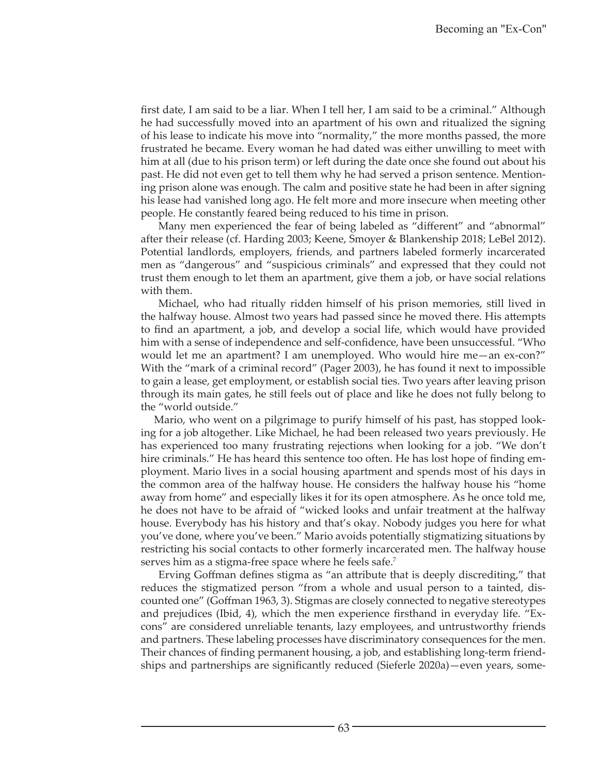first date, I am said to be a liar. When I tell her, I am said to be a criminal." Although he had successfully moved into an apartment of his own and ritualized the signing of his lease to indicate his move into "normality," the more months passed, the more frustrated he became. Every woman he had dated was either unwilling to meet with him at all (due to his prison term) or left during the date once she found out about his past. He did not even get to tell them why he had served a prison sentence. Mentioning prison alone was enough. The calm and positive state he had been in after signing his lease had vanished long ago. He felt more and more insecure when meeting other people. He constantly feared being reduced to his time in prison.

Many men experienced the fear of being labeled as "different" and "abnormal" after their release (cf. Harding 2003; Keene, Smoyer & Blankenship 2018; LeBel 2012). Potential landlords, employers, friends, and partners labeled formerly incarcerated men as "dangerous" and "suspicious criminals" and expressed that they could not trust them enough to let them an apartment, give them a job, or have social relations with them.

Michael, who had ritually ridden himself of his prison memories, still lived in the halfway house. Almost two years had passed since he moved there. His attempts to find an apartment, a job, and develop a social life, which would have provided him with a sense of independence and self-confidence, have been unsuccessful. "Who would let me an apartment? I am unemployed. Who would hire me—an ex-con?" With the "mark of a criminal record" (Pager 2003), he has found it next to impossible to gain a lease, get employment, or establish social ties. Two years after leaving prison through its main gates, he still feels out of place and like he does not fully belong to the "world outside."

Mario, who went on a pilgrimage to purify himself of his past, has stopped looking for a job altogether. Like Michael, he had been released two years previously. He has experienced too many frustrating rejections when looking for a job. "We don't hire criminals." He has heard this sentence too often. He has lost hope of finding employment. Mario lives in a social housing apartment and spends most of his days in the common area of the halfway house. He considers the halfway house his "home away from home" and especially likes it for its open atmosphere. As he once told me, he does not have to be afraid of "wicked looks and unfair treatment at the halfway house. Everybody has his history and that's okay. Nobody judges you here for what you've done, where you've been." Mario avoids potentially stigmatizing situations by restricting his social contacts to other formerly incarcerated men. The halfway house serves him as a stigma-free space where he feels safe.<sup>7</sup>

Erving Goffman defines stigma as "an attribute that is deeply discrediting," that reduces the stigmatized person "from a whole and usual person to a tainted, discounted one" (Goffman 1963, 3). Stigmas are closely connected to negative stereotypes and prejudices (Ibid, 4), which the men experience firsthand in everyday life. "Excons" are considered unreliable tenants, lazy employees, and untrustworthy friends and partners. These labeling processes have discriminatory consequences for the men. Their chances of finding permanent housing, a job, and establishing long-term friendships and partnerships are significantly reduced (Sieferle 2020a)—even years, some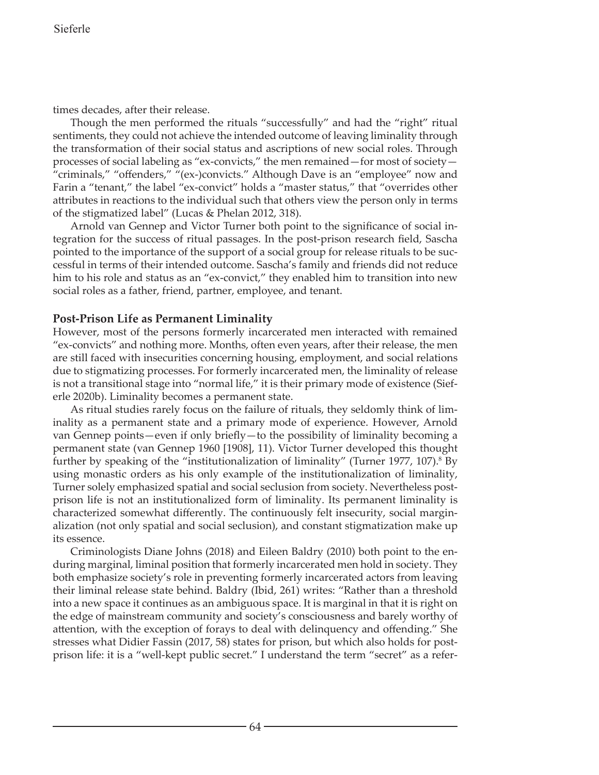times decades, after their release.

Though the men performed the rituals "successfully" and had the "right" ritual sentiments, they could not achieve the intended outcome of leaving liminality through the transformation of their social status and ascriptions of new social roles. Through processes of social labeling as "ex-convicts," the men remained—for most of society— "criminals," "offenders," "(ex-)convicts." Although Dave is an "employee" now and Farin a "tenant," the label "ex-convict" holds a "master status," that "overrides other attributes in reactions to the individual such that others view the person only in terms of the stigmatized label" (Lucas & Phelan 2012, 318).

Arnold van Gennep and Victor Turner both point to the significance of social integration for the success of ritual passages. In the post-prison research field, Sascha pointed to the importance of the support of a social group for release rituals to be successful in terms of their intended outcome. Sascha's family and friends did not reduce him to his role and status as an "ex-convict," they enabled him to transition into new social roles as a father, friend, partner, employee, and tenant.

# **Post-Prison Life as Permanent Liminality**

However, most of the persons formerly incarcerated men interacted with remained "ex-convicts" and nothing more. Months, often even years, after their release, the men are still faced with insecurities concerning housing, employment, and social relations due to stigmatizing processes. For formerly incarcerated men, the liminality of release is not a transitional stage into "normal life," it is their primary mode of existence (Sieferle 2020b). Liminality becomes a permanent state.

As ritual studies rarely focus on the failure of rituals, they seldomly think of liminality as a permanent state and a primary mode of experience. However, Arnold van Gennep points—even if only briefly—to the possibility of liminality becoming a permanent state (van Gennep 1960 [1908], 11). Victor Turner developed this thought further by speaking of the "institutionalization of liminality" (Turner 1977, 107).<sup>8</sup> By using monastic orders as his only example of the institutionalization of liminality, Turner solely emphasized spatial and social seclusion from society. Nevertheless postprison life is not an institutionalized form of liminality. Its permanent liminality is characterized somewhat differently. The continuously felt insecurity, social marginalization (not only spatial and social seclusion), and constant stigmatization make up its essence.

Criminologists Diane Johns (2018) and Eileen Baldry (2010) both point to the enduring marginal, liminal position that formerly incarcerated men hold in society. They both emphasize society's role in preventing formerly incarcerated actors from leaving their liminal release state behind. Baldry (Ibid, 261) writes: "Rather than a threshold into a new space it continues as an ambiguous space. It is marginal in that it is right on the edge of mainstream community and society's consciousness and barely worthy of attention, with the exception of forays to deal with delinquency and offending." She stresses what Didier Fassin (2017, 58) states for prison, but which also holds for postprison life: it is a "well-kept public secret." I understand the term "secret" as a refer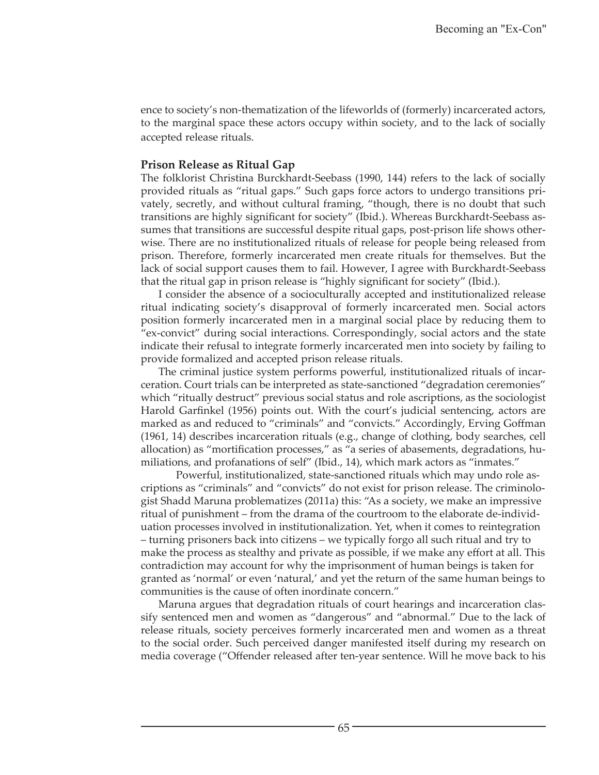ence to society's non-thematization of the lifeworlds of (formerly) incarcerated actors, to the marginal space these actors occupy within society, and to the lack of socially accepted release rituals.

#### **Prison Release as Ritual Gap**

The folklorist Christina Burckhardt-Seebass (1990, 144) refers to the lack of socially provided rituals as "ritual gaps." Such gaps force actors to undergo transitions privately, secretly, and without cultural framing, "though, there is no doubt that such transitions are highly significant for society" (Ibid.). Whereas Burckhardt-Seebass assumes that transitions are successful despite ritual gaps, post-prison life shows otherwise. There are no institutionalized rituals of release for people being released from prison. Therefore, formerly incarcerated men create rituals for themselves. But the lack of social support causes them to fail. However, I agree with Burckhardt-Seebass that the ritual gap in prison release is "highly significant for society" (Ibid.).

I consider the absence of a socioculturally accepted and institutionalized release ritual indicating society's disapproval of formerly incarcerated men. Social actors position formerly incarcerated men in a marginal social place by reducing them to "ex-convict" during social interactions. Correspondingly, social actors and the state indicate their refusal to integrate formerly incarcerated men into society by failing to provide formalized and accepted prison release rituals.

The criminal justice system performs powerful, institutionalized rituals of incarceration. Court trials can be interpreted as state-sanctioned "degradation ceremonies" which "ritually destruct" previous social status and role ascriptions, as the sociologist Harold Garfinkel (1956) points out. With the court's judicial sentencing, actors are marked as and reduced to "criminals" and "convicts." Accordingly, Erving Goffman (1961, 14) describes incarceration rituals (e.g., change of clothing, body searches, cell allocation) as "mortification processes," as "a series of abasements, degradations, humiliations, and profanations of self" (Ibid., 14), which mark actors as "inmates."

Powerful, institutionalized, state-sanctioned rituals which may undo role ascriptions as "criminals" and "convicts" do not exist for prison release. The criminologist Shadd Maruna problematizes (2011a) this: "As a society, we make an impressive ritual of punishment – from the drama of the courtroom to the elaborate de-individuation processes involved in institutionalization. Yet, when it comes to reintegration – turning prisoners back into citizens – we typically forgo all such ritual and try to make the process as stealthy and private as possible, if we make any effort at all. This contradiction may account for why the imprisonment of human beings is taken for granted as 'normal' or even 'natural,' and yet the return of the same human beings to communities is the cause of often inordinate concern."

Maruna argues that degradation rituals of court hearings and incarceration classify sentenced men and women as "dangerous" and "abnormal." Due to the lack of release rituals, society perceives formerly incarcerated men and women as a threat to the social order. Such perceived danger manifested itself during my research on media coverage ("Offender released after ten-year sentence. Will he move back to his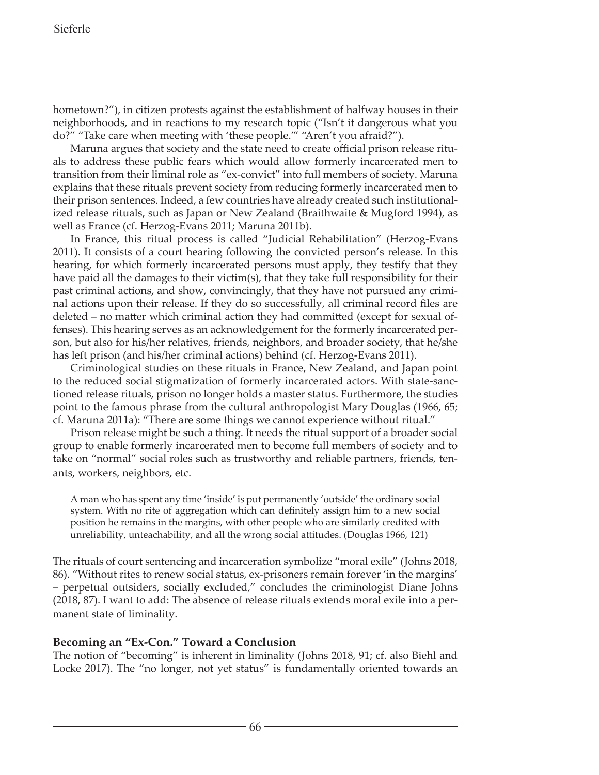hometown?"), in citizen protests against the establishment of halfway houses in their neighborhoods, and in reactions to my research topic ("Isn't it dangerous what you do?" "Take care when meeting with 'these people.'" "Aren't you afraid?").

Maruna argues that society and the state need to create official prison release rituals to address these public fears which would allow formerly incarcerated men to transition from their liminal role as "ex-convict" into full members of society. Maruna explains that these rituals prevent society from reducing formerly incarcerated men to their prison sentences. Indeed, a few countries have already created such institutionalized release rituals, such as Japan or New Zealand (Braithwaite & Mugford 1994), as well as France (cf. Herzog-Evans 2011; Maruna 2011b).

In France, this ritual process is called "Judicial Rehabilitation" (Herzog-Evans 2011). It consists of a court hearing following the convicted person's release. In this hearing, for which formerly incarcerated persons must apply, they testify that they have paid all the damages to their victim(s), that they take full responsibility for their past criminal actions, and show, convincingly, that they have not pursued any criminal actions upon their release. If they do so successfully, all criminal record files are deleted – no matter which criminal action they had committed (except for sexual offenses). This hearing serves as an acknowledgement for the formerly incarcerated person, but also for his/her relatives, friends, neighbors, and broader society, that he/she has left prison (and his/her criminal actions) behind (cf. Herzog-Evans 2011).

Criminological studies on these rituals in France, New Zealand, and Japan point to the reduced social stigmatization of formerly incarcerated actors. With state-sanctioned release rituals, prison no longer holds a master status. Furthermore, the studies point to the famous phrase from the cultural anthropologist Mary Douglas (1966, 65; cf. Maruna 2011a): "There are some things we cannot experience without ritual."

Prison release might be such a thing. It needs the ritual support of a broader social group to enable formerly incarcerated men to become full members of society and to take on "normal" social roles such as trustworthy and reliable partners, friends, tenants, workers, neighbors, etc.

A man who has spent any time 'inside' is put permanently 'outside' the ordinary social system. With no rite of aggregation which can definitely assign him to a new social position he remains in the margins, with other people who are similarly credited with unreliability, unteachability, and all the wrong social attitudes. (Douglas 1966, 121)

The rituals of court sentencing and incarceration symbolize "moral exile" (Johns 2018, 86). "Without rites to renew social status, ex-prisoners remain forever 'in the margins' – perpetual outsiders, socially excluded," concludes the criminologist Diane Johns (2018, 87). I want to add: The absence of release rituals extends moral exile into a permanent state of liminality.

### **Becoming an "Ex-Con." Toward a Conclusion**

The notion of "becoming" is inherent in liminality (Johns 2018, 91; cf. also Biehl and Locke 2017). The "no longer, not yet status" is fundamentally oriented towards an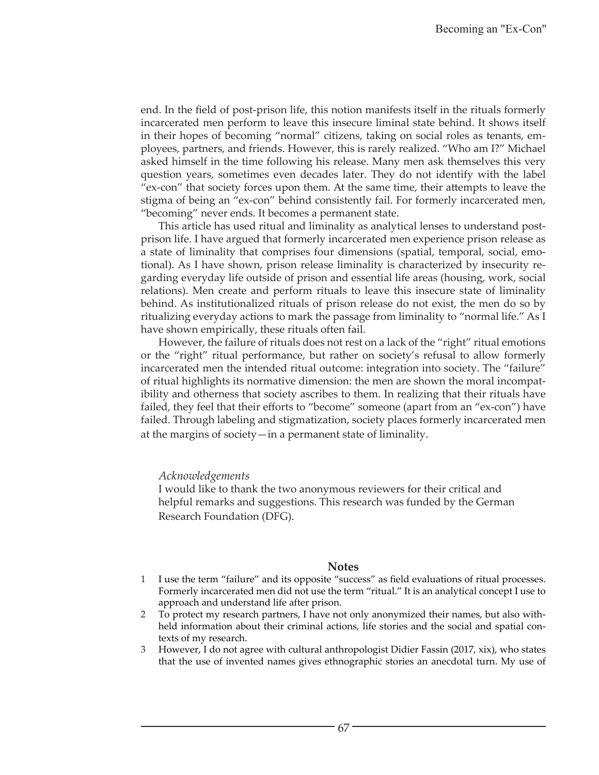end. In the field of post-prison life, this notion manifests itself in the rituals formerly incarcerated men perform to leave this insecure liminal state behind. It shows itself in their hopes of becoming "normal" citizens, taking on social roles as tenants, employees, partners, and friends. However, this is rarely realized. "Who am I?" Michael asked himself in the time following his release. Many men ask themselves this very question years, sometimes even decades later. They do not identify with the label "ex-con" that society forces upon them. At the same time, their attempts to leave the stigma of being an "ex-con" behind consistently fail. For formerly incarcerated men, "becoming" never ends. It becomes a permanent state.

This article has used ritual and liminality as analytical lenses to understand postprison life. I have argued that formerly incarcerated men experience prison release as a state of liminality that comprises four dimensions (spatial, temporal, social, emotional). As I have shown, prison release liminality is characterized by insecurity regarding everyday life outside of prison and essential life areas (housing, work, social relations). Men create and perform rituals to leave this insecure state of liminality behind. As institutionalized rituals of prison release do not exist, the men do so by ritualizing everyday actions to mark the passage from liminality to "normal life." As I have shown empirically, these rituals often fail.

However, the failure of rituals does not rest on a lack of the "right" ritual emotions or the "right" ritual performance, but rather on society's refusal to allow formerly incarcerated men the intended ritual outcome: integration into society. The "failure" of ritual highlights its normative dimension: the men are shown the moral incompatibility and otherness that society ascribes to them. In realizing that their rituals have failed, they feel that their efforts to "become" someone (apart from an "ex-con") have failed. Through labeling and stigmatization, society places formerly incarcerated men at the margins of society—in a permanent state of liminality.

#### *Acknowledgements*

I would like to thank the two anonymous reviewers for their critical and helpful remarks and suggestions. This research was funded by the German Research Foundation (DFG).

#### **Notes**

- 1 I use the term "failure" and its opposite "success" as field evaluations of ritual processes. Formerly incarcerated men did not use the term "ritual." It is an analytical concept I use to approach and understand life after prison.
- 2 To protect my research partners, I have not only anonymized their names, but also withheld information about their criminal actions, life stories and the social and spatial contexts of my research.
- 3 However, I do not agree with cultural anthropologist Didier Fassin (2017, xix), who states that the use of invented names gives ethnographic stories an anecdotal turn. My use of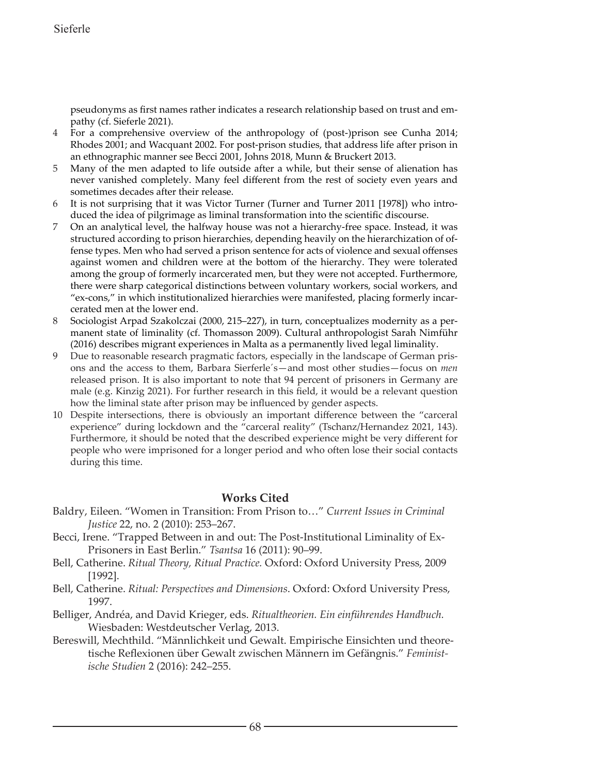pseudonyms as first names rather indicates a research relationship based on trust and empathy (cf. Sieferle 2021).

- 4 For a comprehensive overview of the anthropology of (post-)prison see Cunha 2014; Rhodes 2001; and Wacquant 2002. For post-prison studies, that address life after prison in an ethnographic manner see Becci 2001, Johns 2018, Munn & Bruckert 2013.
- 5 Many of the men adapted to life outside after a while, but their sense of alienation has never vanished completely. Many feel different from the rest of society even years and sometimes decades after their release.
- 6 It is not surprising that it was Victor Turner (Turner and Turner 2011 [1978]) who introduced the idea of pilgrimage as liminal transformation into the scientific discourse.
- 7 On an analytical level, the halfway house was not a hierarchy-free space. Instead, it was structured according to prison hierarchies, depending heavily on the hierarchization of offense types. Men who had served a prison sentence for acts of violence and sexual offenses against women and children were at the bottom of the hierarchy. They were tolerated among the group of formerly incarcerated men, but they were not accepted. Furthermore, there were sharp categorical distinctions between voluntary workers, social workers, and "ex-cons," in which institutionalized hierarchies were manifested, placing formerly incarcerated men at the lower end.
- 8 Sociologist Arpad Szakolczai (2000, 215–227), in turn, conceptualizes modernity as a permanent state of liminality (cf. Thomasson 2009). Cultural anthropologist Sarah Nimführ (2016) describes migrant experiences in Malta as a permanently lived legal liminality.
- 9 Due to reasonable research pragmatic factors, especially in the landscape of German prisons and the access to them, Barbara Sierferle´s—and most other studies—focus on *men* released prison. It is also important to note that 94 percent of prisoners in Germany are male (e.g. Kinzig 2021). For further research in this field, it would be a relevant question how the liminal state after prison may be influenced by gender aspects.
- 10 Despite intersections, there is obviously an important difference between the "carceral experience" during lockdown and the "carceral reality" (Tschanz/Hernandez 2021, 143). Furthermore, it should be noted that the described experience might be very different for people who were imprisoned for a longer period and who often lose their social contacts during this time.

### **Works Cited**

- Baldry, Eileen. "Women in Transition: From Prison to…" *Current Issues in Criminal Justice* 22, no. 2 (2010): 253–267.
- Becci, Irene. "Trapped Between in and out: The Post-Institutional Liminality of Ex-Prisoners in East Berlin." *Tsantsa* 16 (2011): 90–99.
- Bell, Catherine. *Ritual Theory, Ritual Practice.* Oxford: Oxford University Press, 2009 [1992].
- Bell, Catherine. *Ritual: Perspectives and Dimensions*. Oxford: Oxford University Press, 1997.
- Belliger, Andréa, and David Krieger, eds. *Ritualtheorien. Ein einführendes Handbuch.* Wiesbaden: Westdeutscher Verlag, 2013.
- Bereswill, Mechthild. "Männlichkeit und Gewalt. Empirische Einsichten und theoretische Reflexionen über Gewalt zwischen Männern im Gefängnis." *Feministische Studien* 2 (2016): 242–255.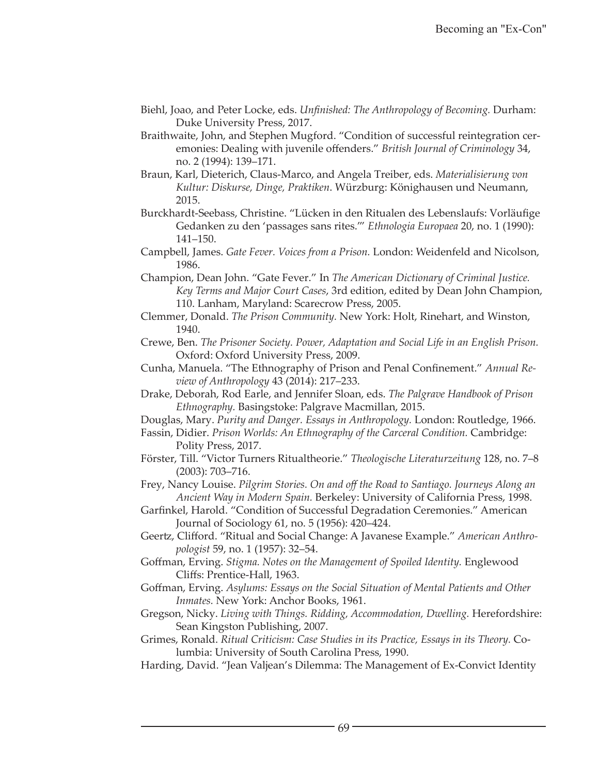- Biehl, Joao, and Peter Locke, eds. *Unfinished: The Anthropology of Becoming.* Durham: Duke University Press, 2017.
- Braithwaite, John, and Stephen Mugford. "Condition of successful reintegration ceremonies: Dealing with juvenile offenders." *British Journal of Criminology* 34, no. 2 (1994): 139–171.
- Braun, Karl, Dieterich, Claus-Marco, and Angela Treiber, eds. *Materialisierung von Kultur: Diskurse, Dinge, Praktiken*. Würzburg: Könighausen und Neumann, 2015.
- Burckhardt-Seebass, Christine. "Lücken in den Ritualen des Lebenslaufs: Vorläufige Gedanken zu den 'passages sans rites.'" *Ethnologia Europaea* 20, no. 1 (1990): 141–150.
- Campbell, James. *Gate Fever. Voices from a Prison.* London: Weidenfeld and Nicolson, 1986.
- Champion, Dean John. "Gate Fever." In *The American Dictionary of Criminal Justice. Key Terms and Major Court Cases*, 3rd edition, edited by Dean John Champion, 110. Lanham, Maryland: Scarecrow Press, 2005.
- Clemmer, Donald. *The Prison Community.* New York: Holt, Rinehart, and Winston, 1940.
- Crewe, Ben. *The Prisoner Society. Power, Adaptation and Social Life in an English Prison.* Oxford: Oxford University Press, 2009.
- Cunha, Manuela. "The Ethnography of Prison and Penal Confinement." *Annual Review of Anthropology* 43 (2014): 217–233.
- Drake, Deborah, Rod Earle, and Jennifer Sloan, eds. *The Palgrave Handbook of Prison Ethnography.* Basingstoke: Palgrave Macmillan, 2015.
- Douglas, Mary. *Purity and Danger. Essays in Anthropology.* London: Routledge, 1966.
- Fassin, Didier. *Prison Worlds: An Ethnography of the Carceral Condition.* Cambridge: Polity Press, 2017.
- Förster, Till. "Victor Turners Ritualtheorie." *Theologische Literaturzeitung* 128, no. 7–8 (2003): 703–716.
- Frey, Nancy Louise. *Pilgrim Stories. On and off the Road to Santiago. Journeys Along an Ancient Way in Modern Spain.* Berkeley: University of California Press, 1998.
- Garfinkel, Harold. "Condition of Successful Degradation Ceremonies." American Journal of Sociology 61, no. 5 (1956): 420–424.
- Geertz, Clifford. "Ritual and Social Change: A Javanese Example." *American Anthropologist* 59, no. 1 (1957): 32–54.
- Goffman, Erving. *Stigma. Notes on the Management of Spoiled Identity.* Englewood Cliffs: Prentice-Hall, 1963.
- Goffman, Erving. *Asylums: Essays on the Social Situation of Mental Patients and Other Inmates.* New York: Anchor Books, 1961.
- Gregson, Nicky. *Living with Things. Ridding, Accommodation, Dwelling.* Herefordshire: Sean Kingston Publishing, 2007.
- Grimes, Ronald. *Ritual Criticism: Case Studies in its Practice, Essays in its Theory.* Columbia: University of South Carolina Press, 1990.
- Harding, David. "Jean Valjean's Dilemma: The Management of Ex-Convict Identity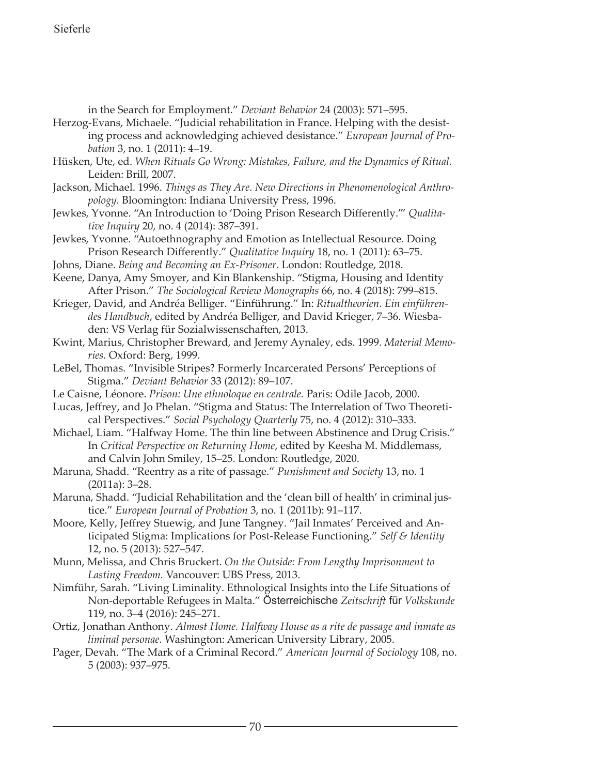# Sieferle

in the Search for Employment." *Deviant Behavior* 24 (2003): 571–595.

- Herzog-Evans, Michaele. "Judicial rehabilitation in France. Helping with the desisting process and acknowledging achieved desistance." *European Journal of Probation* 3, no. 1 (2011): 4–19.
- Hüsken, Ute, ed. *When Rituals Go Wrong: Mistakes, Failure, and the Dynamics of Ritual.* Leiden: Brill, 2007.
- Jackson, Michael. 1996. *Things as They Are. New Directions in Phenomenological Anthropology.* Bloomington: Indiana University Press, 1996.
- Jewkes, Yvonne. "An Introduction to 'Doing Prison Research Differently.'" *Qualitative Inquiry* 20, no. 4 (2014): 387–391.
- Jewkes, Yvonne. "Autoethnography and Emotion as Intellectual Resource. Doing Prison Research Differently." *Qualitative Inquiry* 18, no. 1 (2011): 63–75.
- Johns, Diane. *Being and Becoming an Ex-Prisoner*. London: Routledge, 2018.
- Keene, Danya, Amy Smoyer, and Kin Blankenship. "Stigma, Housing and Identity After Prison." *The Sociological Review Monographs* 66, no. 4 (2018): 799–815.
- Krieger, David, and Andréa Belliger. "Einführung." In: *Ritualtheorien. Ein einführendes Handbuch*, edited by Andréa Belliger, and David Krieger, 7–36. Wiesbaden: VS Verlag für Sozialwissenschaften, 2013.
- Kwint, Marius, Christopher Breward, and Jeremy Aynaley, eds. 1999. *Material Memories.* Oxford: Berg, 1999.
- LeBel, Thomas. "Invisible Stripes? Formerly Incarcerated Persons' Perceptions of Stigma." *Deviant Behavior* 33 (2012): 89–107.
- Le Caisne, Léonore. *Prison: Une ethnoloque en centrale.* Paris: Odile Jacob, 2000.
- Lucas, Jeffrey, and Jo Phelan. "Stigma and Status: The Interrelation of Two Theoretical Perspectives." *Social Psychology Quarterly* 75, no. 4 (2012): 310–333.
- Michael, Liam. "Halfway Home. The thin line between Abstinence and Drug Crisis." In *Critical Perspective on Returning Home*, edited by Keesha M. Middlemass, and Calvin John Smiley, 15–25. London: Routledge, 2020.
- Maruna, Shadd. "Reentry as a rite of passage." *Punishment and Society* 13, no. 1 (2011a): 3–28.
- Maruna, Shadd. "Judicial Rehabilitation and the 'clean bill of health' in criminal justice." *European Journal of Probation* 3, no. 1 (2011b): 91–117.
- Moore, Kelly, Jeffrey Stuewig, and June Tangney. "Jail Inmates' Perceived and Anticipated Stigma: Implications for Post-Release Functioning." *Self & Identity* 12, no. 5 (2013): 527–547.
- Munn, Melissa, and Chris Bruckert. *On the Outside: From Lengthy Imprisonment to Lasting Freedom.* Vancouver: UBS Press, 2013.
- Nimführ, Sarah. "Living Liminality. Ethnological Insights into the Life Situations of Non-deportable Refugees in Malta." Österreichische *Zeitschrift* für *Volkskunde* 119, no. 3–4 (2016): 245–271.
- Ortiz, Jonathan Anthony. *Almost Home. Halfway House as a rite de passage and inmate as liminal personae.* Washington: American University Library, 2005.
- Pager, Devah. "The Mark of a Criminal Record." *American Journal of Sociology* 108, no. 5 (2003): 937–975.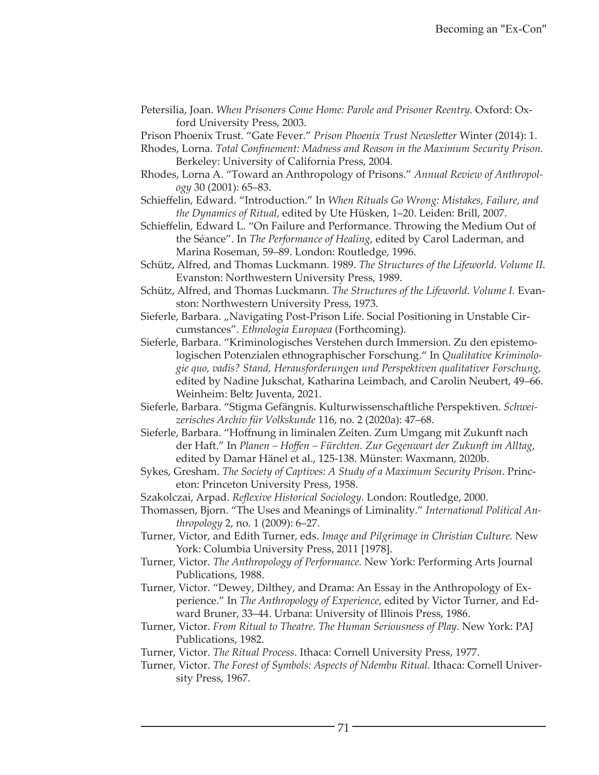Petersilia, Joan. *When Prisoners Come Home: Parole and Prisoner Reentry.* Oxford: Oxford University Press, 2003.

Prison Phoenix Trust. "Gate Fever." *Prison Phoenix Trust Newsletter* Winter (2014): 1.

- Rhodes, Lorna. *Total Confinement: Madness and Reason in the Maximum Security Prison.* Berkeley: University of California Press, 2004.
- Rhodes, Lorna A. "Toward an Anthropology of Prisons." *Annual Review of Anthropology* 30 (2001): 65–83.
- Schieffelin, Edward. "Introduction." In *When Rituals Go Wrong: Mistakes, Failure, and the Dynamics of Ritual*, edited by Ute Hüsken, 1–20. Leiden: Brill, 2007.
- Schieffelin, Edward L. "On Failure and Performance. Throwing the Medium Out of the Séance". In *The Performance of Healing*, edited by Carol Laderman, and Marina Roseman, 59–89. London: Routledge, 1996.
- Schütz, Alfred, and Thomas Luckmann. 1989. *The Structures of the Lifeworld. Volume II.* Evanston: Northwestern University Press, 1989.
- Schütz, Alfred, and Thomas Luckmann. *The Structures of the Lifeworld. Volume I.* Evanston: Northwestern University Press, 1973.
- Sieferle, Barbara. "Navigating Post-Prison Life. Social Positioning in Unstable Circumstances". *Ethnologia Europaea* (Forthcoming).
- Sieferle, Barbara. "Kriminologisches Verstehen durch Immersion. Zu den epistemologischen Potenzialen ethnographischer Forschung." In *Qualitative Kriminologie quo, vadis? Stand, Herausforderungen und Perspektiven qualitativer Forschung,*  edited by Nadine Jukschat, Katharina Leimbach, and Carolin Neubert, 49–66. Weinheim: Beltz Juventa, 2021.
- Sieferle, Barbara. "Stigma Gefängnis. Kulturwissenschaftliche Perspektiven. *Schweizerisches Archiv für Volkskunde* 116, no. 2 (2020a): 47–68.
- Sieferle, Barbara. "Hoffnung in liminalen Zeiten. Zum Umgang mit Zukunft nach der Haft." In *Planen – Hoffen – Fürchten. Zur Gegenwart der Zukunft im Alltag*, edited by Damar Hänel et al., 125-138. Münster: Waxmann, 2020b.
- Sykes, Gresham. *The Society of Captives: A Study of a Maximum Security Prison*. Princeton: Princeton University Press, 1958.
- Szakolczai, Arpad. *Reflexive Historical Sociology.* London: Routledge, 2000.
- Thomassen, Bjorn. "The Uses and Meanings of Liminality." *International Political Anthropology* 2, no. 1 (2009): 6–27.
- Turner, Victor, and Edith Turner, eds. *Image and Pilgrimage in Christian Culture.* New York: Columbia University Press, 2011 [1978].
- Turner, Victor. *The Anthropology of Performance.* New York: Performing Arts Journal Publications, 1988.
- Turner, Victor. "Dewey, Dilthey, and Drama: An Essay in the Anthropology of Experience." In *The Anthropology of Experience*, edited by Victor Turner, and Edward Bruner, 33–44. Urbana: University of Illinois Press, 1986.
- Turner, Victor. *From Ritual to Theatre. The Human Seriousness of Play.* New York: PAJ Publications, 1982.
- Turner, Victor. *The Ritual Process*. Ithaca: Cornell University Press, 1977.
- Turner, Victor. *The Forest of Symbols: Aspects of Ndembu Ritual.* Ithaca: Cornell University Press, 1967.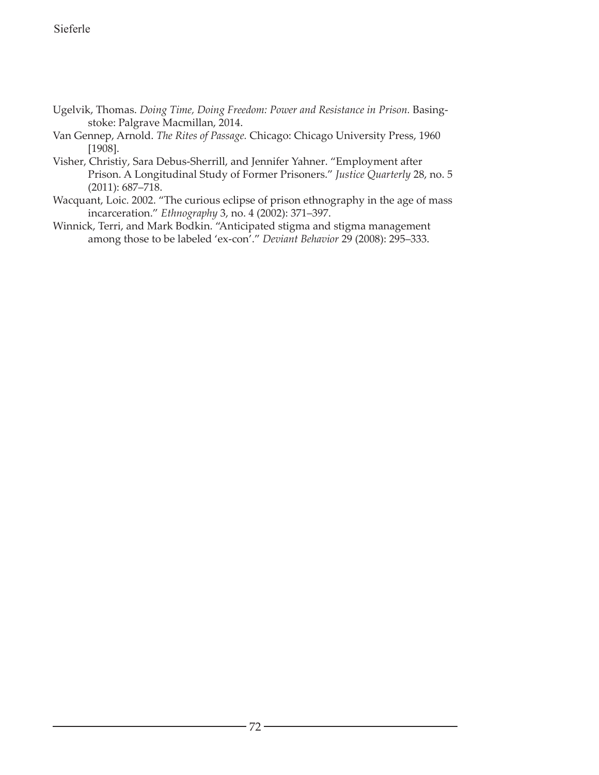- Ugelvik, Thomas. *Doing Time, Doing Freedom: Power and Resistance in Prison.* Basingstoke: Palgrave Macmillan, 2014.
- Van Gennep, Arnold. *The Rites of Passage.* Chicago: Chicago University Press, 1960 [1908].
- Visher, Christiy, Sara Debus-Sherrill, and Jennifer Yahner. "Employment after Prison. A Longitudinal Study of Former Prisoners." *Justice Quarterly* 28, no. 5 (2011): 687–718.
- Wacquant, Loic. 2002. "The curious eclipse of prison ethnography in the age of mass incarceration." *Ethnography* 3, no. 4 (2002): 371–397.
- Winnick, Terri, and Mark Bodkin. "Anticipated stigma and stigma management among those to be labeled 'ex-con'." *Deviant Behavior* 29 (2008): 295–333.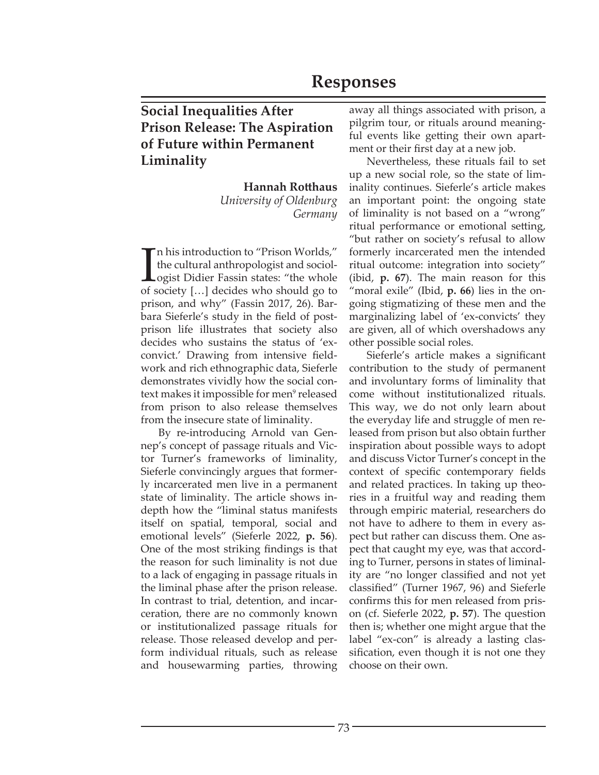# **Responses**

# **Social Inequalities After Prison Release: The Aspiration of Future within Permanent Liminality**

**Hannah Rotthaus** *University of Oldenburg Germany*

I n his introduction to "Prison Worlds," the cultural anthropologist and sociologist Didier Fassin states: "the whole of society […] decides who should go to prison, and why" (Fassin 2017, 26). Barbara Sieferle's study in the field of postprison life illustrates that society also decides who sustains the status of 'exconvict.' Drawing from intensive fieldwork and rich ethnographic data, Sieferle demonstrates vividly how the social context makes it impossible for men<sup>9</sup> released from prison to also release themselves from the insecure state of liminality.

By re-introducing Arnold van Gennep's concept of passage rituals and Victor Turner's frameworks of liminality, Sieferle convincingly argues that formerly incarcerated men live in a permanent state of liminality. The article shows indepth how the "liminal status manifests itself on spatial, temporal, social and emotional levels" (Sieferle 2022, **p. 56**). One of the most striking findings is that the reason for such liminality is not due to a lack of engaging in passage rituals in the liminal phase after the prison release. In contrast to trial, detention, and incarceration, there are no commonly known or institutionalized passage rituals for release. Those released develop and perform individual rituals, such as release and housewarming parties, throwing

away all things associated with prison, a pilgrim tour, or rituals around meaningful events like getting their own apartment or their first day at a new job.

Nevertheless, these rituals fail to set up a new social role, so the state of liminality continues. Sieferle's article makes an important point: the ongoing state of liminality is not based on a "wrong" ritual performance or emotional setting, "but rather on society's refusal to allow formerly incarcerated men the intended ritual outcome: integration into society" (ibid, **p. 67**). The main reason for this "moral exile" (Ibid, **p. 66**) lies in the ongoing stigmatizing of these men and the marginalizing label of 'ex-convicts' they are given, all of which overshadows any other possible social roles.

Sieferle's article makes a significant contribution to the study of permanent and involuntary forms of liminality that come without institutionalized rituals. This way, we do not only learn about the everyday life and struggle of men released from prison but also obtain further inspiration about possible ways to adopt and discuss Victor Turner's concept in the context of specific contemporary fields and related practices. In taking up theories in a fruitful way and reading them through empiric material, researchers do not have to adhere to them in every aspect but rather can discuss them. One aspect that caught my eye, was that according to Turner, persons in states of liminality are "no longer classified and not yet classified" (Turner 1967, 96) and Sieferle confirms this for men released from prison (cf. Sieferle 2022, **p. 57**). The question then is; whether one might argue that the label "ex-con" is already a lasting classification, even though it is not one they choose on their own.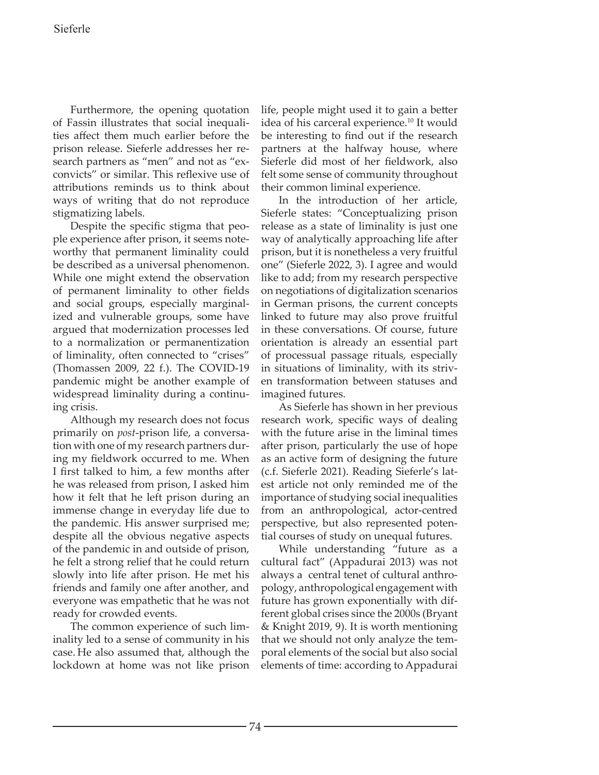Furthermore, the opening quotation of Fassin illustrates that social inequalities affect them much earlier before the prison release. Sieferle addresses her research partners as "men" and not as "exconvicts" or similar. This reflexive use of attributions reminds us to think about ways of writing that do not reproduce stigmatizing labels.

Despite the specific stigma that people experience after prison, it seems noteworthy that permanent liminality could be described as a universal phenomenon. While one might extend the observation of permanent liminality to other fields and social groups, especially marginalized and vulnerable groups, some have argued that modernization processes led to a normalization or permanentization of liminality, often connected to "crises" (Thomassen 2009, 22 f.). The COVID-19 pandemic might be another example of widespread liminality during a continuing crisis.

Although my research does not focus primarily on *post*-prison life, a conversation with one of my research partners during my fieldwork occurred to me. When I first talked to him, a few months after he was released from prison, I asked him how it felt that he left prison during an immense change in everyday life due to the pandemic. His answer surprised me; despite all the obvious negative aspects of the pandemic in and outside of prison, he felt a strong relief that he could return slowly into life after prison. He met his friends and family one after another, and everyone was empathetic that he was not ready for crowded events.

The common experience of such liminality led to a sense of community in his case. He also assumed that, although the lockdown at home was not like prison life, people might used it to gain a better idea of his carceral experience.<sup>10</sup> It would be interesting to find out if the research partners at the halfway house, where Sieferle did most of her fieldwork, also felt some sense of community throughout their common liminal experience.

In the introduction of her article, Sieferle states: "Conceptualizing prison release as a state of liminality is just one way of analytically approaching life after prison, but it is nonetheless a very fruitful one" (Sieferle 2022, 3). I agree and would like to add; from my research perspective on negotiations of digitalization scenarios in German prisons, the current concepts linked to future may also prove fruitful in these conversations. Of course, future orientation is already an essential part of processual passage rituals, especially in situations of liminality, with its striven transformation between statuses and imagined futures.

As Sieferle has shown in her previous research work, specific ways of dealing with the future arise in the liminal times after prison, particularly the use of hope as an active form of designing the future (c.f. Sieferle 2021). Reading Sieferle's latest article not only reminded me of the importance of studying social inequalities from an anthropological, actor-centred perspective, but also represented potential courses of study on unequal futures.

While understanding "future as a cultural fact" (Appadurai 2013) was not always a central tenet of cultural anthropology, anthropological engagement with future has grown exponentially with different global crises since the 2000s (Bryant & Knight 2019, 9). It is worth mentioning that we should not only analyze the temporal elements of the social but also social elements of time: according to Appadurai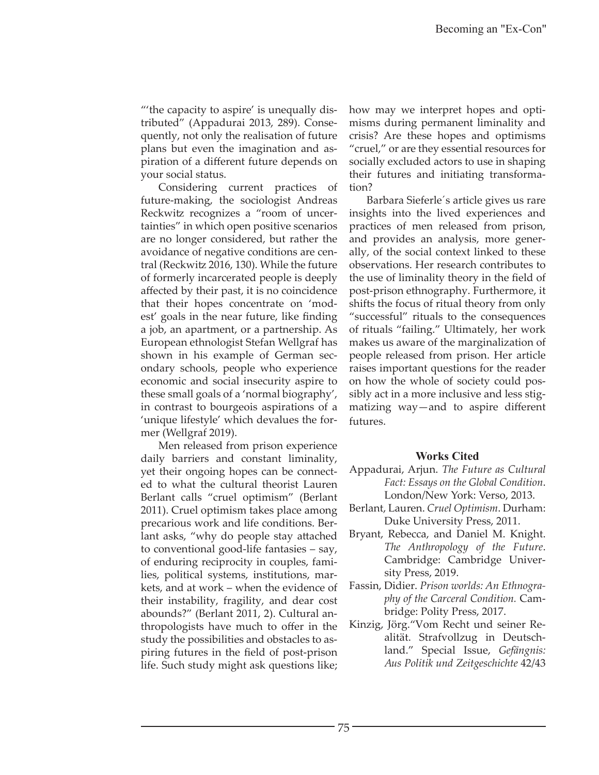"'the capacity to aspire' is unequally distributed" (Appadurai 2013, 289). Consequently, not only the realisation of future plans but even the imagination and aspiration of a different future depends on your social status.

Considering current practices of future-making, the sociologist Andreas Reckwitz recognizes a "room of uncertainties" in which open positive scenarios are no longer considered, but rather the avoidance of negative conditions are central (Reckwitz 2016, 130). While the future of formerly incarcerated people is deeply affected by their past, it is no coincidence that their hopes concentrate on 'modest' goals in the near future, like finding a job, an apartment, or a partnership. As European ethnologist Stefan Wellgraf has shown in his example of German secondary schools, people who experience economic and social insecurity aspire to these small goals of a 'normal biography', in contrast to bourgeois aspirations of a 'unique lifestyle' which devalues the former (Wellgraf 2019).

Men released from prison experience daily barriers and constant liminality, yet their ongoing hopes can be connected to what the cultural theorist Lauren Berlant calls "cruel optimism" (Berlant 2011). Cruel optimism takes place among precarious work and life conditions. Berlant asks, "why do people stay attached to conventional good-life fantasies – say, of enduring reciprocity in couples, families, political systems, institutions, markets, and at work – when the evidence of their instability, fragility, and dear cost abounds?" (Berlant 2011, 2). Cultural anthropologists have much to offer in the study the possibilities and obstacles to aspiring futures in the field of post-prison life. Such study might ask questions like;

how may we interpret hopes and optimisms during permanent liminality and crisis? Are these hopes and optimisms "cruel," or are they essential resources for socially excluded actors to use in shaping their futures and initiating transformation?

Barbara Sieferle´s article gives us rare insights into the lived experiences and practices of men released from prison, and provides an analysis, more generally, of the social context linked to these observations. Her research contributes to the use of liminality theory in the field of post-prison ethnography. Furthermore, it shifts the focus of ritual theory from only "successful" rituals to the consequences of rituals "failing." Ultimately, her work makes us aware of the marginalization of people released from prison. Her article raises important questions for the reader on how the whole of society could possibly act in a more inclusive and less stigmatizing way—and to aspire different futures.

#### **Works Cited**

- Appadurai, Arjun. *The Future as Cultural Fact: Essays on the Global Condition*. London/New York: Verso, 2013.
- Berlant, Lauren. *Cruel Optimism*. Durham: Duke University Press, 2011.
- Bryant, Rebecca, and Daniel M. Knight. *The Anthropology of the Future*. Cambridge: Cambridge University Press, 2019.
- Fassin, Didier. *Prison worlds: An Ethnography of the Carceral Condition.* Cambridge: Polity Press, 2017.
- Kinzig, Jörg."Vom Recht und seiner Realität. Strafvollzug in Deutschland." Special Issue, *Gefängnis: Aus Politik und Zeitgeschichte* 42/43